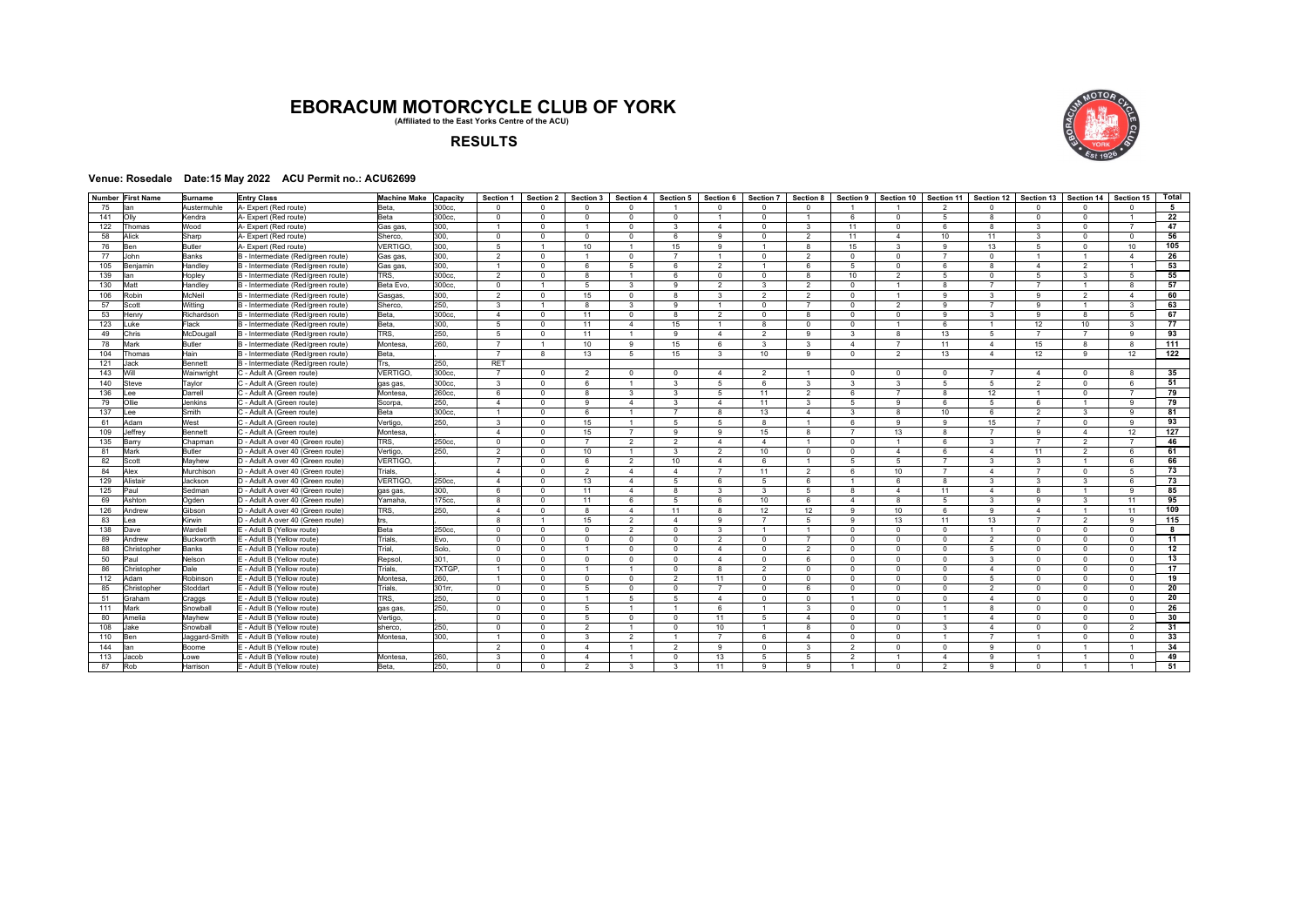## **EBORACUM MOTORCYCLE CLUB OF YORK (Affiliated to the East Yorks Centre of the ACU)**



## **RESULTS**

## **Venue: Rosedale Date:15 May 2022 ACU Permit no.: ACU62699**

|           | Number First Name | Surname                  | <b>Entry Class</b>                                                     | <b>Machine Make</b>  | Capacity     | Section 1      | Section 2            | Section 3            | Section 4      | Section 5                       | Section 6       | <b>Section 7</b> | Section 8      | Section 9      | Section 10           | Section 11     | Section 12                     | Section 13             | Section 14               | Section 15           | Total     |
|-----------|-------------------|--------------------------|------------------------------------------------------------------------|----------------------|--------------|----------------|----------------------|----------------------|----------------|---------------------------------|-----------------|------------------|----------------|----------------|----------------------|----------------|--------------------------------|------------------------|--------------------------|----------------------|-----------|
| 75        | an                | Austermuhle              | A- Expert (Red route)                                                  | Beta.                | 300cc.       | $\Omega$       | $\Omega$             | $\Omega$             | $\Omega$       |                                 | $\Omega$        | $\Omega$         | $\Omega$       |                |                      | $\mathfrak{p}$ | $\Omega$                       | $\Omega$               | $\Omega$                 |                      | 5         |
| 141       | Olly              | Kendra                   | A- Expert (Red route)                                                  | Beta                 | 300cc.       | $\Omega$       | $\Omega$             | $\Omega$             | $\mathbf{0}$   | $\Omega$                        | $\overline{1}$  | $\Omega$         |                | 6              | $^{\circ}$           | $\sqrt{5}$     | $\mathbf{g}$                   | $\mathbf{0}$           | $\Omega$                 |                      | 22        |
| 122       | Thomas            | Wood                     | A- Expert (Red route)                                                  | Gas gas.             | 300.         | $\overline{1}$ | $\Omega$             | $\overline{1}$       | $\Omega$       | 3                               | $\overline{4}$  | $\Omega$         | 3              | 11             | $^{\circ}$           | 6              | $\mathbf{g}$                   | 3                      | $\Omega$                 | $\overline{7}$       | 47        |
| 58        | Alick             | Sharp                    | A- Expert (Red route)                                                  | Sherco.              | 300.         | $\mathbf 0$    | $\Omega$             | $\Omega$             | $\Omega$       | 6                               | $\mathsf q$     | $\Omega$         | 2              | 11             | $\overline{4}$       | 10             | 11                             | 3                      | $\Omega$                 | $\Omega$             | 56        |
| 76        | <b>Ben</b>        | Butler                   | A- Expert (Red route)                                                  | VERTIGO.             | 300.         | 5              | $\overline{1}$       | 10                   | $\overline{1}$ | 15                              | 9               | $\overline{1}$   | 8              | 15             | 3                    | 9              | 13                             | 5                      | $\Omega$                 | 10                   | 105       |
| 77        | John              | Banks                    | B - Intermediate (Red/green route)                                     | Gas gas,             | 300.         | 2              | $\Omega$             | $\overline{1}$       | $\Omega$       | $\overline{7}$                  | $\overline{1}$  | $\Omega$         | 2              | $\Omega$       | $\Omega$             | $\overline{7}$ | $\Omega$                       | $\overline{1}$         | $\overline{1}$           | $\overline{4}$       | 26        |
| 105       | Beniamin          | Handley                  | B - Intermediate (Red/green route)                                     | Gas gas,             | 300.         | $\overline{1}$ | $\Omega$             | 6                    | 5              | 6.                              | 2               | $\overline{1}$   | 6              | 5              | $\mathbf{0}$         | 6              | $\mathbf{R}$                   | $\overline{4}$         | $\overline{2}$           | $\overline{1}$       | 53        |
| 139       | lan               | Hopley                   | B - Intermediate (Red/green route)                                     | TRS.                 | 300cc.       | $\overline{2}$ | $\Omega$             | 8                    | $\mathbf{1}$   | 6.                              | $\mathbf{0}$    | $\Omega$         | R.             | 10             | 2                    | $\overline{5}$ | $\Omega$                       | $5^{\circ}$            | $\mathbf{R}$             | -5                   | 55        |
| 130       | Matt              | Handlev                  | B - Intermediate (Red/green route)                                     | Beta Evo.            | 300cc.       | $\mathbf 0$    | $\overline{1}$       | 5                    | $\mathcal{R}$  | Q                               | $\overline{2}$  | 3                | 2              | $\Omega$       | $\overline{1}$       | 8              | $\overline{7}$                 | $\overline{7}$         | $\overline{1}$           | $\mathbf{R}$         | 57        |
| 106       | Robin             | McNeil                   | B - Intermediate (Red/green route)                                     | Gasgas.              | 300.         | $\overline{2}$ | $\Omega$             | 15                   | $\Omega$       | 8                               | 3               | $\overline{2}$   | 2              | $\Omega$       | $\overline{1}$       | 9              | $\mathbf{3}$                   | 9                      | $\overline{2}$           | $\overline{4}$       | 60        |
| 57        | Scott             | Witting                  | B - Intermediate (Red/green route)                                     | Sherco.              | 250.         | 3              | $\overline{1}$       | 8                    | 3              | 9                               | $\overline{1}$  | $\mathbf{0}$     | $\overline{7}$ | $\mathbf{0}$   | 2                    | 9              | $\overline{7}$                 | 9                      | $\overline{1}$           | 3                    | 63        |
| 53        | Henry             | Richardsor               | B - Intermediate (Red/green route)                                     | Beta.                | 300cc        | $\overline{4}$ | $\Omega$             | 11                   | $\mathbf{0}$   | 8                               | $\overline{2}$  | $\mathbf{0}$     | 8              | $\Omega$       | $\Omega$             | $\mathbf{9}$   | $\mathbf{3}$                   | 9                      | $\mathbf{R}$             | -5                   | 67        |
| 123       | _uke              | Flack                    | B - Intermediate (Red/green route)                                     | Beta.                | 300          | 5              | $\Omega$             | 11                   | $\overline{4}$ | 15                              | $\overline{1}$  | 8                | $\Omega$       | $\Omega$       | $\overline{1}$       | 6              | $\overline{1}$                 | 12                     | 10                       | $\mathbf{3}$         | 77        |
| 49        | Chris             | McDougall                | B - Intermediate (Red/green route)                                     | TRS.                 | 250.         | 5              | $\Omega$             | 11                   | $\mathbf{1}$   | 9                               | $\Delta$        | $\overline{2}$   | 9              | 3              | 8                    | 13             | -5                             | $\overline{7}$         | $\overline{7}$           | $\alpha$             | 93        |
| 78        | Mark              | <b>Butler</b>            | B - Intermediate (Red/green route)                                     | Montesa              | 260.         | $\overline{7}$ | $\overline{1}$       | 10                   | 9              | 15                              | 6               | 3                | 3              | $\overline{4}$ | $\overline{7}$       | 11             | $\overline{4}$                 | 15                     | 8                        | $\mathbf{R}$         | 111       |
| 104       | Thomas            | Hain                     | B - Intermediate (Red/green route)                                     | Beta,                |              | $\overline{7}$ | 8                    | 13                   | 5              | 15                              | $\mathbf{3}$    | 10               | 9              | $\mathbf{0}$   | 2                    | 13             | $\overline{4}$                 | 12                     | 9                        | 12                   | 122       |
| 121       | Jack              | <b>Bennett</b>           | B - Intermediate (Red/green route)                                     | Trs.                 | 250.         | <b>RET</b>     |                      |                      |                |                                 |                 |                  |                |                |                      |                |                                |                        |                          |                      |           |
| 143       | Will              | Wainwright               | C - Adult A (Green route)                                              | <b>VERTIGO</b>       | 300cc.       | $\overline{7}$ | $\Omega$             | $\mathfrak{p}$       | $\Omega$       | $\Omega$                        | Δ               | $\overline{2}$   |                | $\Omega$       | $^{\circ}$           | $\circ$        | $\overline{7}$                 | $\boldsymbol{\Lambda}$ | $\Omega$                 |                      | 35        |
| 140       | Steve             | Tavlor                   | C - Adult A (Green route)                                              | gas gas,             | 300cc.       | 3              | $\Omega$             | 6.                   | $\overline{1}$ | 3                               | 5               | 6                | 3              | 3              | $\overline{3}$       | 5              | -5                             | 2                      | $\overline{0}$           | 6<br>$\overline{z}$  | 51        |
| 136       | ee                | Darrell                  | C - Adult A (Green route)                                              | Montesa              | 260cc.       | 6              | $\Omega$             | 8                    | $\mathbf{3}$   | $\mathbf{3}$                    | 5               | 11               | $\overline{2}$ | 6              | $\overline{7}$       | 8              | 12                             | $\overline{1}$         | $\Omega$                 |                      | 79        |
| 79        | Ollie             | <b>Jenkins</b>           | C - Adult A (Green route)                                              | Scorpa.              | 250.         | $\overline{4}$ | $\Omega$             | 9                    | $\Delta$       | $\mathcal{R}$<br>$\overline{7}$ | $\Delta$        | 11               | $\mathbf{3}$   | 5              | 9                    | 6              | 5                              | 6                      | $\overline{1}$           | $\alpha$             | 79        |
| 137       | ee                | Smith                    | C - Adult A (Green route)                                              | Beta                 | 300cc.       | $\overline{1}$ | $\Omega$             | 6                    | $\mathbf{1}$   |                                 | 8               | 13               | $\Delta$       | 3              | 8                    | 10             | 6                              | $\overline{2}$         | $\mathbf{3}$             | $\alpha$             | 81        |
| 61        | Adam<br>leffrey   | West                     | C - Adult A (Green route)                                              | Vertigo,<br>Montesa. | 250.         | 3<br>$\Delta$  | $\Omega$<br>$\Omega$ | 15                   | $\overline{7}$ | 5<br>$\mathbf{Q}$               | 5<br>q          | 8                | 8              | 6              | 9                    | 9<br>8         | 15<br>$\overline{7}$           | 7<br>9                 | $\Omega$<br>$\mathbf{A}$ | $\alpha$             | 93        |
| 109       |                   | Bennett                  | C - Adult A (Green route)                                              |                      | 250cc.       | $\Omega$       | $\Omega$             | 15<br>$\overline{7}$ | $\overline{2}$ | $\mathfrak{p}$                  | $\Delta$        | 15<br>$\Delta$   |                | $\Omega$       | 13<br>$\overline{1}$ | 6              | $\mathbf{3}$                   | $\overline{7}$         | $\mathfrak{p}$           | 12<br>$\overline{7}$ | 127<br>46 |
| 135<br>81 | Barry<br>Mark     | Chapman<br><b>Butler</b> | D - Adult A over 40 (Green route)                                      | TRS.                 | 250.         | $\overline{2}$ | $\Omega$             | 10                   | $\overline{1}$ | $\mathcal{R}$                   | $\overline{2}$  | 10               | $\mathbf{0}$   | $\Omega$       |                      | 6              |                                | 11                     |                          | 6                    | 61        |
|           |                   |                          | D - Adult A over 40 (Green route)                                      | Vertigo,<br>VERTIGO. |              | $\overline{7}$ | $\Omega$             | 6.                   | $\mathcal{P}$  | 10                              | $\Delta$        | 6                |                | 5              | $\overline{4}$<br>5  | $\overline{7}$ | $\overline{4}$<br>$\mathbf{3}$ | 3                      | $\overline{2}$           | 6                    | 66        |
| 82<br>84  | Scott<br>Alex     | Mayhew<br>Murchison      | D - Adult A over 40 (Green route)<br>D - Adult A over 40 (Green route) | Trials.              |              | $\overline{4}$ | $\Omega$             | $\overline{2}$       | $\overline{4}$ | $\overline{4}$                  | $\overline{7}$  | 11               | $\mathcal{P}$  | 6              | 10                   | $\overline{7}$ | $\overline{4}$                 | $\overline{7}$         | $\Omega$                 | -5                   | 73        |
| 129       | Alistair          | Jackson                  | D - Adult A over 40 (Green route)                                      | VERTIGO,             | 250cc.       | $\overline{4}$ | $\Omega$             | 13                   | $\overline{4}$ | 5                               | 6               | 5                | 6              |                | 6                    | 8              | $\mathbf{3}$                   | 3                      | $\mathbf{3}$             | 6                    | 73        |
| 125       | Paul              | Sedman                   | D - Adult A over 40 (Green route)                                      | gas gas,             | 300.         | 6              | $\Omega$             | 11                   | $\overline{4}$ | 8                               | 3               | 3                | 5              | 8              | $\overline{4}$       | 11             | $\overline{4}$                 | 8                      | $\overline{1}$           | 9                    | 85        |
| 69        | Ashton            | Oaden                    | D - Adult A over 40 (Green route)                                      | Yamaha.              | 175cc.       | 8              | $\Omega$             | 11                   | 6.             | 5                               | 6               | 10               | 6              | $\overline{4}$ | 8                    | -5             | $\mathbf{3}$                   | 9                      | 3                        | 11                   | 95        |
| 126       | Andrew            | Gibson                   | D - Adult A over 40 (Green route)                                      | TRS.                 | 250.         | $\overline{4}$ | $\Omega$             | 8                    | $\overline{4}$ | 11                              | 8               | 12               | 12             | 9              | 10                   | 6              | $\alpha$                       | $\overline{4}$         | $\overline{1}$           | 11                   | 109       |
| 83        | ea                | Kirwin                   | D - Adult A over 40 (Green route)                                      | trs.                 |              | $\mathsf{R}$   | $\mathbf{1}$         | 15                   | $\overline{2}$ | $\Delta$                        | $\mathsf q$     | $\overline{7}$   | 5              | $\mathsf q$    | 13                   | 11             | 13                             | $\overline{7}$         | $\overline{2}$           | $\alpha$             | 115       |
| 138       | Dave              | Wardell                  | E - Adult B (Yellow route)                                             | Beta                 | 250cc.       | $\Omega$       | $\Omega$             | $\Omega$             | $\mathcal{P}$  | $\Omega$                        | $\mathcal{R}$   | $\overline{1}$   | $\overline{1}$ | $\Omega$       | $\Omega$             | $\Omega$       | $\overline{1}$                 | $\Omega$               | $\Omega$                 | $\Omega$             | 8         |
| 89        | Andrew            | <b>Buckworth</b>         | E - Adult B (Yellow route)                                             | Trials.              | Evo,         | $\Omega$       | $\Omega$             | $\Omega$             | $\Omega$       | $\Omega$                        | $\overline{2}$  | $\Omega$         | $\overline{7}$ | $\Omega$       | $\Omega$             | $\Omega$       | $\mathcal{P}$                  | $\Omega$               | $\Omega$                 | $\Omega$             | 11        |
| 88        | Christopher       | Banks                    | E - Adult B (Yellow route)                                             | Trial.               | Solo.        | $\mathbf 0$    | $\Omega$             | $\overline{1}$       | $\mathbf{0}$   | $\mathbf{0}$                    | $\Delta$        | $\mathbf{0}$     | 2              | $\Omega$       | $\Omega$             | $\overline{0}$ | 5                              | $\mathbf{0}$           | $\Omega$                 | $\Omega$             | 12        |
| 50        | Paul              | Nelson                   | E - Adult B (Yellow route)                                             | Repsol,              | 301.         | $\mathbf{0}$   | $\Omega$             | $\mathbf 0$          | $^{\circ}$     | $\Omega$                        | $\Delta$        | $\mathbf{0}$     | 6.             | $\Omega$       | $\Omega$             | $\overline{0}$ | $\mathbf{B}$                   | $\Omega$               | $\Omega$                 | $\Omega$             | 13        |
| 86        | Christopher       | Dale                     | E - Adult B (Yellow route)                                             | Trials.              | <b>TXTGP</b> | $\overline{1}$ | $\Omega$             | $\overline{1}$       | $\overline{1}$ | $\mathbf{0}$                    | 8               | $\overline{2}$   | $\Omega$       | $\Omega$       | $\Omega$             | $^{\circ}$     | $\overline{4}$                 | $\Omega$               | $\Omega$                 | $\Omega$             | 17        |
| 112       | Adam              | Robinson                 | E - Adult B (Yellow route)                                             | Montesa              | 260.         | $\overline{1}$ | $\Omega$             | $\mathbf 0$          | $\Omega$       | $\overline{2}$                  | 11              | $\mathbf{0}$     | $\Omega$       | $\Omega$       | $\mathbf{0}$         | $\overline{0}$ | $5 -$                          | $\mathbf 0$            | $\Omega$                 | $\Omega$             | 19        |
| 85        | Christopher       | Stoddart                 | E - Adult B (Yellow route)                                             | Trials.              | 301m         | $\mathbf{0}$   | $\Omega$             | 5                    | $\mathbf{0}$   | $\mathbf{0}$                    | $\overline{7}$  | $\mathbf{0}$     | 6              | $\Omega$       | $^{\circ}$           | $\overline{0}$ | 2                              | $\mathbf{0}$           | $\Omega$                 | $\Omega$             | 20        |
| 51        | Graham            | Craggs                   | E - Adult B (Yellow route)                                             | TRS.                 | 250.         | $\mathbf 0$    | $\Omega$             | $\overline{1}$       | 5              | 5                               | $\overline{4}$  | $\mathbf{0}$     | $\mathbf{0}$   | $\mathbf{1}$   | $\mathbf{0}$         | $\circ$        | $\overline{4}$                 | $\mathbf{0}$           | $\Omega$                 | $\Omega$             | 20        |
| 111       | Mark              | Snowball                 | E - Adult B (Yellow route)                                             | gas gas              | 250.         | $\Omega$       | $\Omega$             | 5                    | $\overline{1}$ | $\overline{1}$                  | 6               | $\mathbf{1}$     | $\mathbf{3}$   | $\Omega$       | $\Omega$             | $\overline{1}$ | -8                             | $\Omega$               | $\overline{0}$           | $\Omega$             | 26        |
| 80        | Amelia            | Mayhew                   | E - Adult B (Yellow route)                                             | Vertigo.             |              | $\mathbf 0$    | $\Omega$             | 5                    | $\Omega$       | $\mathbf{0}$                    | 11              | 5                | $\Delta$       | $\Omega$       | $\mathbf{0}$         | $\overline{1}$ | $\overline{4}$                 | $\mathbf{0}$           | $\Omega$                 | $\Omega$             | 30        |
| 108       | lake              | Snowball                 | E - Adult B (Yellow route)                                             | sherco.              | 250.         | $\Omega$       | $\Omega$             | $\overline{2}$       | $\overline{1}$ | $\Omega$                        | 10 <sup>1</sup> | $\overline{1}$   | 8              | $\Omega$       | $\Omega$             | $\mathbf{3}$   | $\Delta$                       | $\Omega$               | $\Omega$                 | $\mathcal{P}$        | 31        |
| 110       | <b>Ben</b>        | Jaggard-Smith            | E - Adult B (Yellow route)                                             | Montesa              | 300.         | $\overline{1}$ | $\Omega$             | 3                    | $\overline{2}$ | $\mathbf{1}$                    | $\overline{7}$  | 6                | $\Delta$       | $\Omega$       | $\Omega$             | $\overline{1}$ | $\overline{7}$                 | $\overline{1}$         | $\Omega$                 | $\Omega$             | 33        |
| 144       | lan               | Boome                    | E - Adult B (Yellow route)                                             |                      |              | $\overline{2}$ | $\Omega$             | $\Delta$             | $\overline{1}$ | $\overline{2}$                  | 9               | $\Omega$         | 3              | $\mathcal{P}$  | $\Omega$             | $\mathbf{0}$   | $\alpha$                       | $\Omega$               |                          |                      | 34        |
| 113       | lacob             | Lowe                     | E - Adult B (Yellow route)                                             | Montesa              | 260.         | 3              | $\Omega$             | $\Delta$             |                | $\Omega$                        | 13              | 5                | 5              | $\overline{2}$ |                      | $\Delta$       | $\alpha$                       |                        |                          | $\Omega$             | 49        |
| 87        | Rob               | Harrison                 | E - Adult B (Yellow route)                                             | Beta.                | 250.         | $\Omega$       | $\Omega$             | $\mathfrak{p}$       |                | $\mathbf{R}$                    | 11              |                  |                |                | $\Omega$             | $\mathfrak{p}$ |                                | $\Omega$               |                          |                      | 51        |